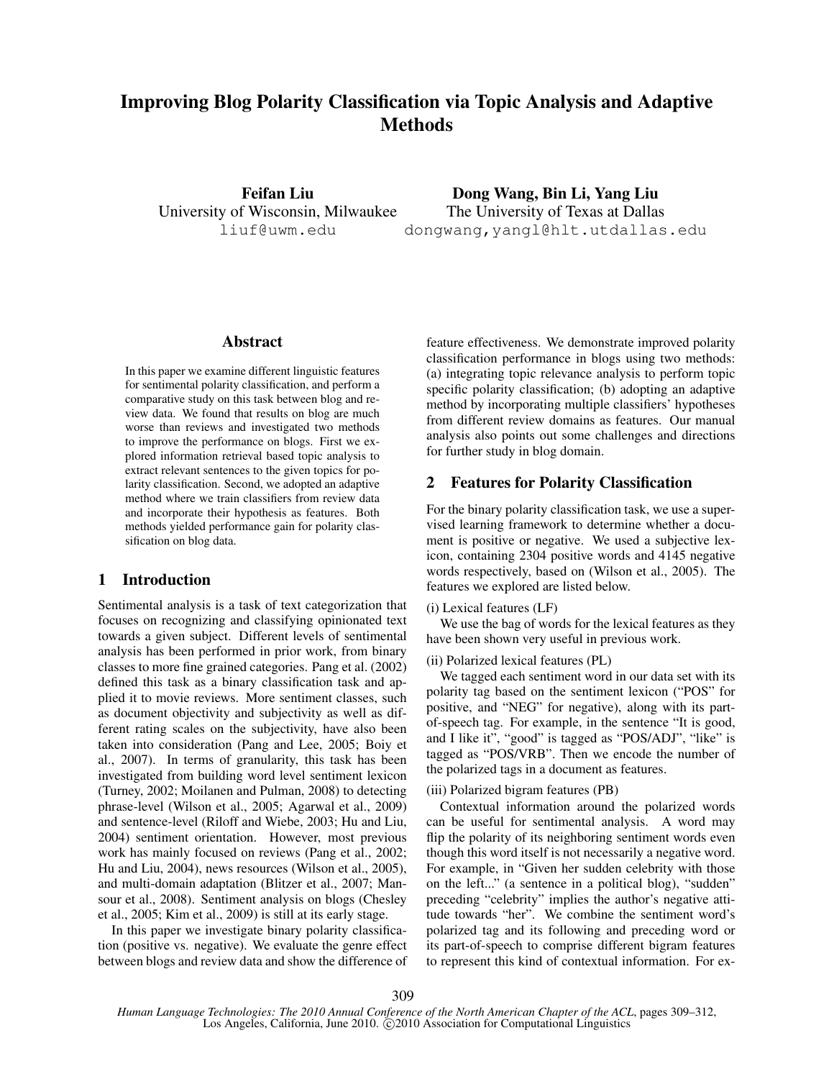# Improving Blog Polarity Classification via Topic Analysis and Adaptive **Methods**

Feifan Liu University of Wisconsin, Milwaukee liuf@uwm.edu

Dong Wang, Bin Li, Yang Liu The University of Texas at Dallas dongwang,yangl@hlt.utdallas.edu

## Abstract

In this paper we examine different linguistic features for sentimental polarity classification, and perform a comparative study on this task between blog and review data. We found that results on blog are much worse than reviews and investigated two methods to improve the performance on blogs. First we explored information retrieval based topic analysis to extract relevant sentences to the given topics for polarity classification. Second, we adopted an adaptive method where we train classifiers from review data and incorporate their hypothesis as features. Both methods yielded performance gain for polarity classification on blog data.

# 1 Introduction

Sentimental analysis is a task of text categorization that focuses on recognizing and classifying opinionated text towards a given subject. Different levels of sentimental analysis has been performed in prior work, from binary classes to more fine grained categories. Pang et al. (2002) defined this task as a binary classification task and applied it to movie reviews. More sentiment classes, such as document objectivity and subjectivity as well as different rating scales on the subjectivity, have also been taken into consideration (Pang and Lee, 2005; Boiy et al., 2007). In terms of granularity, this task has been investigated from building word level sentiment lexicon (Turney, 2002; Moilanen and Pulman, 2008) to detecting phrase-level (Wilson et al., 2005; Agarwal et al., 2009) and sentence-level (Riloff and Wiebe, 2003; Hu and Liu, 2004) sentiment orientation. However, most previous work has mainly focused on reviews (Pang et al., 2002; Hu and Liu, 2004), news resources (Wilson et al., 2005), and multi-domain adaptation (Blitzer et al., 2007; Mansour et al., 2008). Sentiment analysis on blogs (Chesley et al., 2005; Kim et al., 2009) is still at its early stage.

In this paper we investigate binary polarity classification (positive vs. negative). We evaluate the genre effect between blogs and review data and show the difference of feature effectiveness. We demonstrate improved polarity classification performance in blogs using two methods: (a) integrating topic relevance analysis to perform topic specific polarity classification; (b) adopting an adaptive method by incorporating multiple classifiers' hypotheses from different review domains as features. Our manual analysis also points out some challenges and directions for further study in blog domain.

# 2 Features for Polarity Classification

For the binary polarity classification task, we use a supervised learning framework to determine whether a document is positive or negative. We used a subjective lexicon, containing 2304 positive words and 4145 negative words respectively, based on (Wilson et al., 2005). The features we explored are listed below.

### (i) Lexical features (LF)

We use the bag of words for the lexical features as they have been shown very useful in previous work.

## (ii) Polarized lexical features (PL)

We tagged each sentiment word in our data set with its polarity tag based on the sentiment lexicon ("POS" for positive, and "NEG" for negative), along with its partof-speech tag. For example, in the sentence "It is good, and I like it", "good" is tagged as "POS/ADJ", "like" is tagged as "POS/VRB". Then we encode the number of the polarized tags in a document as features.

### (iii) Polarized bigram features (PB)

Contextual information around the polarized words can be useful for sentimental analysis. A word may flip the polarity of its neighboring sentiment words even though this word itself is not necessarily a negative word. For example, in "Given her sudden celebrity with those on the left..." (a sentence in a political blog), "sudden" preceding "celebrity" implies the author's negative attitude towards "her". We combine the sentiment word's polarized tag and its following and preceding word or its part-of-speech to comprise different bigram features to represent this kind of contextual information. For ex-

309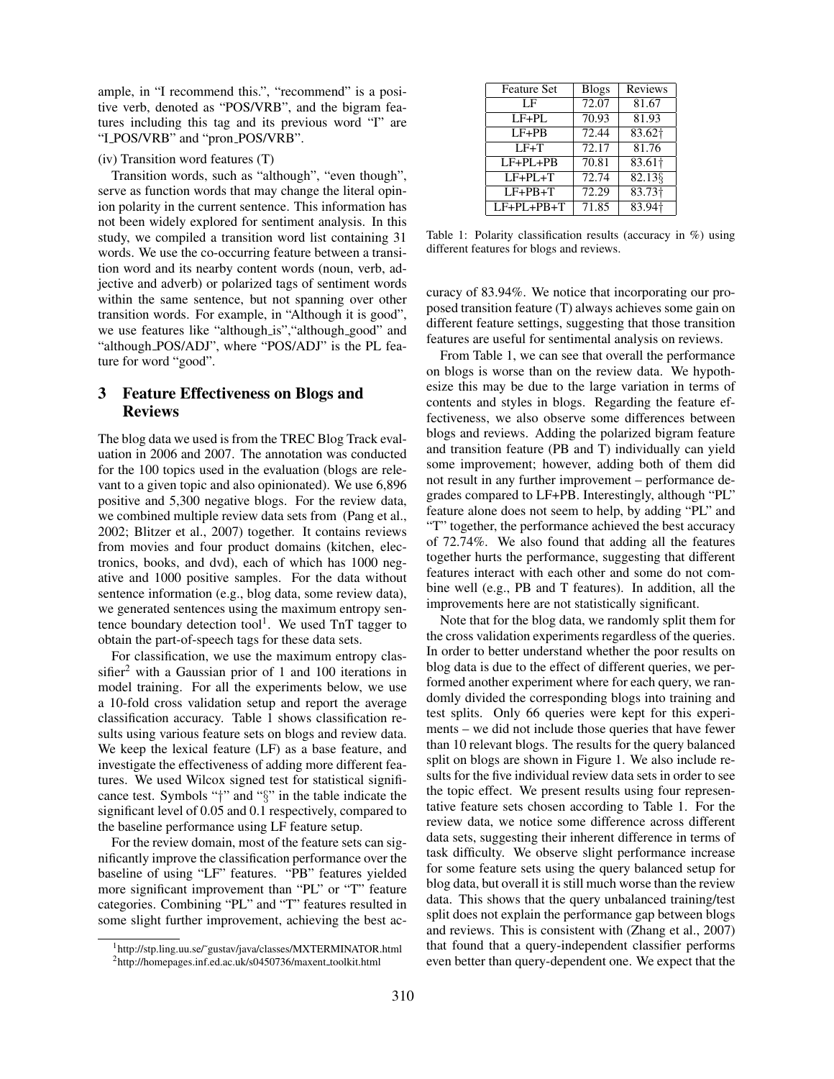ample, in "I recommend this.", "recommend" is a positive verb, denoted as "POS/VRB", and the bigram features including this tag and its previous word "I" are "I POS/VRB" and "pron POS/VRB".

### (iv) Transition word features (T)

Transition words, such as "although", "even though", serve as function words that may change the literal opinion polarity in the current sentence. This information has not been widely explored for sentiment analysis. In this study, we compiled a transition word list containing 31 words. We use the co-occurring feature between a transition word and its nearby content words (noun, verb, adjective and adverb) or polarized tags of sentiment words within the same sentence, but not spanning over other transition words. For example, in "Although it is good", we use features like "although is", "although good" and "although\_POS/ADJ", where "POS/ADJ" is the PL feature for word "good".

# 3 Feature Effectiveness on Blogs and Reviews

The blog data we used is from the TREC Blog Track evaluation in 2006 and 2007. The annotation was conducted for the 100 topics used in the evaluation (blogs are relevant to a given topic and also opinionated). We use 6,896 positive and 5,300 negative blogs. For the review data, we combined multiple review data sets from (Pang et al., 2002; Blitzer et al., 2007) together. It contains reviews from movies and four product domains (kitchen, electronics, books, and dvd), each of which has 1000 negative and 1000 positive samples. For the data without sentence information (e.g., blog data, some review data), we generated sentences using the maximum entropy sentence boundary detection tool<sup>1</sup>. We used  $TnT$  tagger to obtain the part-of-speech tags for these data sets.

For classification, we use the maximum entropy classifier<sup>2</sup> with a Gaussian prior of 1 and 100 iterations in model training. For all the experiments below, we use a 10-fold cross validation setup and report the average classification accuracy. Table 1 shows classification results using various feature sets on blogs and review data. We keep the lexical feature (LF) as a base feature, and investigate the effectiveness of adding more different features. We used Wilcox signed test for statistical significance test. Symbols "†" and "§" in the table indicate the significant level of 0.05 and 0.1 respectively, compared to the baseline performance using LF feature setup.

For the review domain, most of the feature sets can significantly improve the classification performance over the baseline of using "LF" features. "PB" features yielded more significant improvement than "PL" or "T" feature categories. Combining "PL" and "T" features resulted in some slight further improvement, achieving the best ac-

| <b>Feature Set</b> | <b>Blogs</b> | Reviews              |
|--------------------|--------------|----------------------|
| LF                 | 72.07        | 81.67                |
| $LF+PL$            | 70.93        | 81.93                |
| $LF+PB$            | 72.44        | 83.62+               |
| $LF+T$             | 72.17        | 81.76                |
| $LF+PL+PB$         | 70.81        | $83.61$ <sup>+</sup> |
| $LF+PL+T$          | 72.74        | $82.13\%$            |
| $LF+PB+T$          | 72.29        | 83.73 <sup>†</sup>   |
| $LF+PL+PB+T$       | 71.85        | 83.94†               |

Table 1: Polarity classification results (accuracy in %) using different features for blogs and reviews.

curacy of 83.94%. We notice that incorporating our proposed transition feature (T) always achieves some gain on different feature settings, suggesting that those transition features are useful for sentimental analysis on reviews.

From Table 1, we can see that overall the performance on blogs is worse than on the review data. We hypothesize this may be due to the large variation in terms of contents and styles in blogs. Regarding the feature effectiveness, we also observe some differences between blogs and reviews. Adding the polarized bigram feature and transition feature (PB and T) individually can yield some improvement; however, adding both of them did not result in any further improvement – performance degrades compared to LF+PB. Interestingly, although "PL" feature alone does not seem to help, by adding "PL" and "T" together, the performance achieved the best accuracy of 72.74%. We also found that adding all the features together hurts the performance, suggesting that different features interact with each other and some do not combine well (e.g., PB and T features). In addition, all the improvements here are not statistically significant.

Note that for the blog data, we randomly split them for the cross validation experiments regardless of the queries. In order to better understand whether the poor results on blog data is due to the effect of different queries, we performed another experiment where for each query, we randomly divided the corresponding blogs into training and test splits. Only 66 queries were kept for this experiments – we did not include those queries that have fewer than 10 relevant blogs. The results for the query balanced split on blogs are shown in Figure 1. We also include results for the five individual review data sets in order to see the topic effect. We present results using four representative feature sets chosen according to Table 1. For the review data, we notice some difference across different data sets, suggesting their inherent difference in terms of task difficulty. We observe slight performance increase for some feature sets using the query balanced setup for blog data, but overall it is still much worse than the review data. This shows that the query unbalanced training/test split does not explain the performance gap between blogs and reviews. This is consistent with (Zhang et al., 2007) that found that a query-independent classifier performs even better than query-dependent one. We expect that the

<sup>1</sup>http://stp.ling.uu.se/˜gustav/java/classes/MXTERMINATOR.html

<sup>&</sup>lt;sup>2</sup>http://homepages.inf.ed.ac.uk/s0450736/maxent\_toolkit.html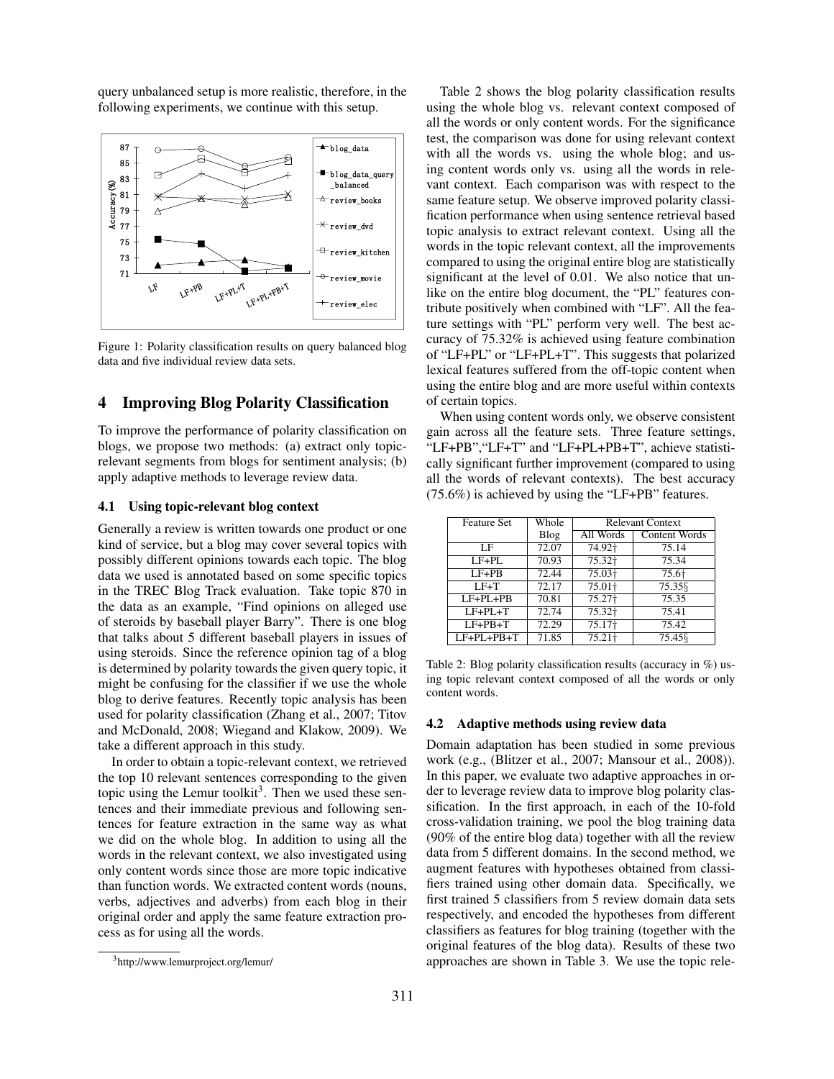query unbalanced setup is more realistic, therefore, in the following experiments, we continue with this setup.



Figure 1: Polarity classification results on query balanced blog data and five individual review data sets.

# 4 Improving Blog Polarity Classification

To improve the performance of polarity classification on blogs, we propose two methods: (a) extract only topicrelevant segments from blogs for sentiment analysis; (b) apply adaptive methods to leverage review data.

#### 4.1 Using topic-relevant blog context

Generally a review is written towards one product or one kind of service, but a blog may cover several topics with possibly different opinions towards each topic. The blog data we used is annotated based on some specific topics in the TREC Blog Track evaluation. Take topic 870 in the data as an example, "Find opinions on alleged use of steroids by baseball player Barry". There is one blog that talks about 5 different baseball players in issues of using steroids. Since the reference opinion tag of a blog is determined by polarity towards the given query topic, it might be confusing for the classifier if we use the whole blog to derive features. Recently topic analysis has been used for polarity classification (Zhang et al., 2007; Titov and McDonald, 2008; Wiegand and Klakow, 2009). We take a different approach in this study.

In order to obtain a topic-relevant context, we retrieved the top 10 relevant sentences corresponding to the given topic using the Lemur toolkit<sup>3</sup>. Then we used these sentences and their immediate previous and following sentences for feature extraction in the same way as what we did on the whole blog. In addition to using all the words in the relevant context, we also investigated using only content words since those are more topic indicative than function words. We extracted content words (nouns, verbs, adjectives and adverbs) from each blog in their original order and apply the same feature extraction process as for using all the words.

Table 2 shows the blog polarity classification results using the whole blog vs. relevant context composed of all the words or only content words. For the significance test, the comparison was done for using relevant context with all the words vs. using the whole blog; and using content words only vs. using all the words in relevant context. Each comparison was with respect to the same feature setup. We observe improved polarity classification performance when using sentence retrieval based topic analysis to extract relevant context. Using all the words in the topic relevant context, all the improvements compared to using the original entire blog are statistically significant at the level of 0.01. We also notice that unlike on the entire blog document, the "PL" features contribute positively when combined with "LF". All the feature settings with "PL" perform very well. The best accuracy of 75.32% is achieved using feature combination of "LF+PL" or "LF+PL+T". This suggests that polarized lexical features suffered from the off-topic content when using the entire blog and are more useful within contexts of certain topics.

When using content words only, we observe consistent gain across all the feature sets. Three feature settings, "LF+PB","LF+T" and "LF+PL+PB+T", achieve statistically significant further improvement (compared to using all the words of relevant contexts). The best accuracy (75.6%) is achieved by using the "LF+PB" features.

| <b>Feature Set</b> | Whole | <b>Relevant Context</b> |               |
|--------------------|-------|-------------------------|---------------|
|                    | Blog  | All Words               | Content Words |
| LF                 | 72.07 | 74.92†                  | 75.14         |
| $LF+PL$            | 70.93 | 75.32 <sup>+</sup>      | 75.34         |
| $LF+PB$            | 72.44 | 75.03+                  | 75.6†         |
| $LF+T$             | 72.17 | 75.01+                  | 75.358        |
| $LF+PI+PB$         | 70.81 | 75.27 <sup>+</sup>      | 75.35         |
| $LF+PL+T$          | 72.74 | $75.32+$                | 75.41         |
| $LF+PB+T$          | 72.29 | $75.17+$                | 75.42         |
| $LF+PL+PB+T$       | 71.85 | 75.21 <sup>†</sup>      | 75.458        |

Table 2: Blog polarity classification results (accuracy in  $\%$ ) using topic relevant context composed of all the words or only content words.

### 4.2 Adaptive methods using review data

Domain adaptation has been studied in some previous work (e.g., (Blitzer et al., 2007; Mansour et al., 2008)). In this paper, we evaluate two adaptive approaches in order to leverage review data to improve blog polarity classification. In the first approach, in each of the 10-fold cross-validation training, we pool the blog training data (90% of the entire blog data) together with all the review data from 5 different domains. In the second method, we augment features with hypotheses obtained from classifiers trained using other domain data. Specifically, we first trained 5 classifiers from 5 review domain data sets respectively, and encoded the hypotheses from different classifiers as features for blog training (together with the original features of the blog data). Results of these two approaches are shown in Table 3. We use the topic rele-

<sup>3</sup>http://www.lemurproject.org/lemur/